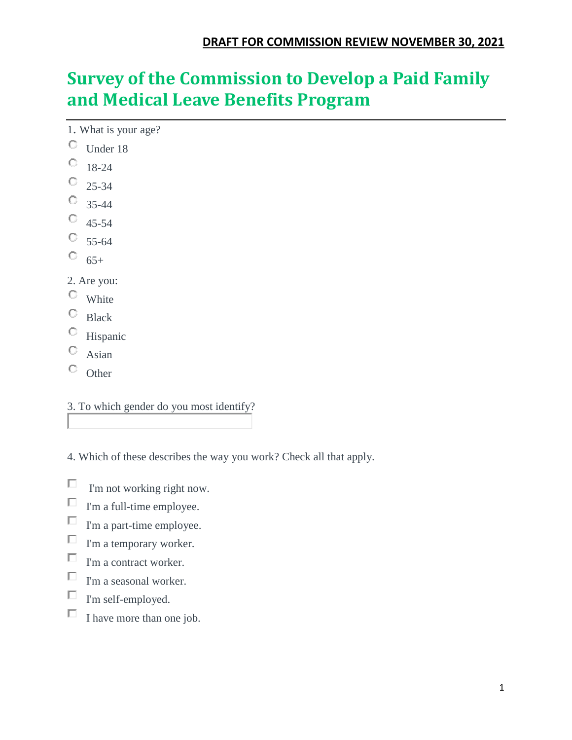# **Survey of the Commission to Develop a Paid Family and Medical Leave Benefits Program**

- 1. What is your age?
- Under 18
- $\circ$  18-24
- $\degree$  25-34
- $\circ$  35-44
- $\circ$  45-54
- $\circ$  55-64
- $\circ$  65+
- 2. Are you:
- $\circ$  White
- $\circ$  Black
- Hispanic
- 0 Asian
- $\circ$  Other

#### 3. To which gender do you most identify?

- 4. Which of these describes the way you work? Check all that apply.
- П I'm not working right now.
- П I'm a full-time employee.
- $\Box$ I'm a part-time employee.
- $\Box$ I'm a temporary worker.
- $\Box$ I'm a contract worker.
- П I'm a seasonal worker.
- П. I'm self-employed.
- $\Box$ I have more than one job.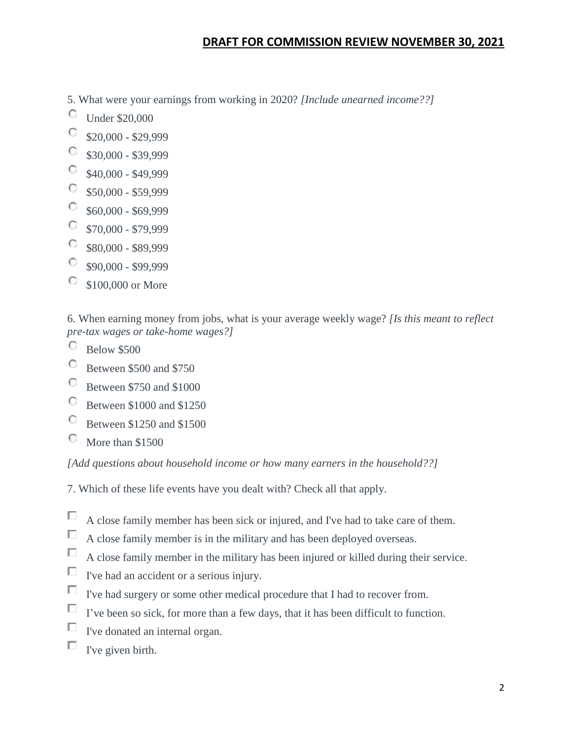### **DRAFT FOR COMMISSION REVIEW NOVEMBER 30, 2021**

- 5. What were your earnings from working in 2020? *[Include unearned income??]*
- O Under \$20,000
- O \$20,000 - \$29,999
- О. \$30,000 - \$39,999
- $\mathbb{C}^-$ \$40,000 - \$49,999
- $\mathbb{C}^-$ \$50,000 - \$59,999
- O. \$60,000 - \$69,999
- О. \$70,000 - \$79,999
- О. \$80,000 - \$89,999
- О. \$90,000 - \$99,999
- \$100,000 or More 0.

6. When earning money from jobs, what is your average weekly wage? *[Is this meant to reflect pre-tax wages or take-home wages?]*

- O Below \$500
- O Between \$500 and \$750
- O Between \$750 and \$1000
- 0. Between \$1000 and \$1250
- О Between \$1250 and \$1500
- О More than \$1500

*[Add questions about household income or how many earners in the household??]*

- 7. Which of these life events have you dealt with? Check all that apply.
- $\Box$ A close family member has been sick or injured, and I've had to take care of them.
- П A close family member is in the military and has been deployed overseas.
- П A close family member in the military has been injured or killed during their service.
- П I've had an accident or a serious injury.
- П I've had surgery or some other medical procedure that I had to recover from.
- П I've been so sick, for more than a few days, that it has been difficult to function.
- П I've donated an internal organ.
- П I've given birth.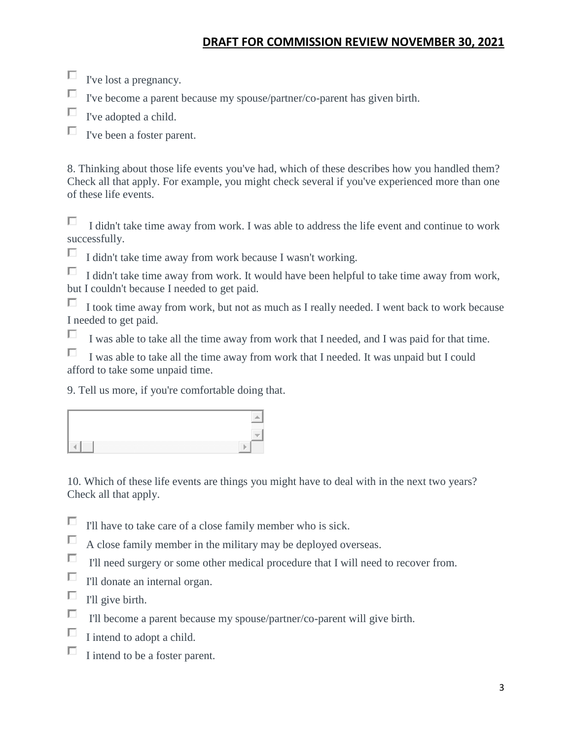# **DRAFT FOR COMMISSION REVIEW NOVEMBER 30, 2021**

- $\Box$  I've lost a pregnancy.
- П I've become a parent because my spouse/partner/co-parent has given birth.
- П I've adopted a child.

П. I've been a foster parent.

8. Thinking about those life events you've had, which of these describes how you handled them? Check all that apply. For example, you might check several if you've experienced more than one of these life events.

П I didn't take time away from work. I was able to address the life event and continue to work successfully.

П I didn't take time away from work because I wasn't working.

П I didn't take time away from work. It would have been helpful to take time away from work, but I couldn't because I needed to get paid.

 $\Box$  I took time away from work, but not as much as I really needed. I went back to work because I needed to get paid.

П I was able to take all the time away from work that I needed, and I was paid for that time.

П. I was able to take all the time away from work that I needed. It was unpaid but I could afford to take some unpaid time.

9. Tell us more, if you're comfortable doing that.

| _____<br>. .                    |
|---------------------------------|
| $\sim$                          |
| $\sim$<br>_____<br>___<br>_____ |

10. Which of these life events are things you might have to deal with in the next two years? Check all that apply.

- П. I'll have to take care of a close family member who is sick.
- П A close family member in the military may be deployed overseas.
- $\Box$ I'll need surgery or some other medical procedure that I will need to recover from.
- П I'll donate an internal organ.
- $\Box$ I'll give birth.
- П I'll become a parent because my spouse/partner/co-parent will give birth.
- П I intend to adopt a child.
- П I intend to be a foster parent.